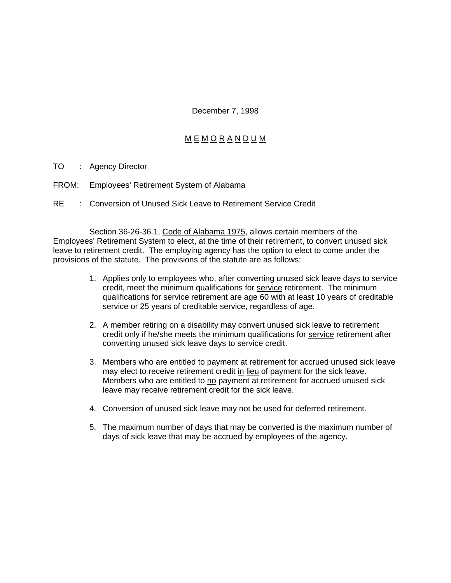December 7, 1998

## M E M O R A N D U M

- TO : Agency Director
- FROM: Employees' Retirement System of Alabama
- RE : Conversion of Unused Sick Leave to Retirement Service Credit

Section 36-26-36.1, Code of Alabama 1975, allows certain members of the Employees' Retirement System to elect, at the time of their retirement, to convert unused sick leave to retirement credit. The employing agency has the option to elect to come under the provisions of the statute. The provisions of the statute are as follows:

- 1. Applies only to employees who, after converting unused sick leave days to service credit, meet the minimum qualifications for service retirement. The minimum qualifications for service retirement are age 60 with at least 10 years of creditable service or 25 years of creditable service, regardless of age.
- 2. A member retiring on a disability may convert unused sick leave to retirement credit only if he/she meets the minimum qualifications for service retirement after converting unused sick leave days to service credit.
- 3. Members who are entitled to payment at retirement for accrued unused sick leave may elect to receive retirement credit in lieu of payment for the sick leave. Members who are entitled to no payment at retirement for accrued unused sick leave may receive retirement credit for the sick leave.
- 4. Conversion of unused sick leave may not be used for deferred retirement.
- 5. The maximum number of days that may be converted is the maximum number of days of sick leave that may be accrued by employees of the agency.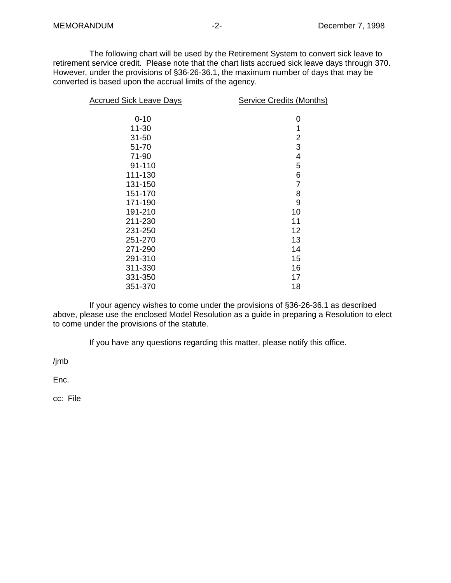The following chart will be used by the Retirement System to convert sick leave to retirement service credit. Please note that the chart lists accrued sick leave days through 370. However, under the provisions of §36-26-36.1, the maximum number of days that may be converted is based upon the accrual limits of the agency.

| <b>Accrued Sick Leave Days</b> | <b>Service Credits (Months)</b> |
|--------------------------------|---------------------------------|
| $0 - 10$                       | 0                               |
| $11 - 30$                      | 1                               |
| $31 - 50$                      | $\overline{2}$                  |
| 51-70                          | 3                               |
| 71-90                          | 4                               |
| 91-110                         | 5                               |
| 111-130                        | 6                               |
| 131-150                        | 7                               |
| 151-170                        | 8                               |
| 171-190                        | 9                               |
| 191-210                        | 10                              |
| 211-230                        | 11                              |
| 231-250                        | 12                              |
| 251-270                        | 13                              |
| 271-290                        | 14                              |
| 291-310                        | 15                              |
| 311-330                        | 16                              |
| 331-350                        | 17                              |
| 351-370                        | 18                              |

If your agency wishes to come under the provisions of §36-26-36.1 as described above, please use the enclosed Model Resolution as a guide in preparing a Resolution to elect to come under the provisions of the statute.

If you have any questions regarding this matter, please notify this office.

/jmb

Enc.

cc: File